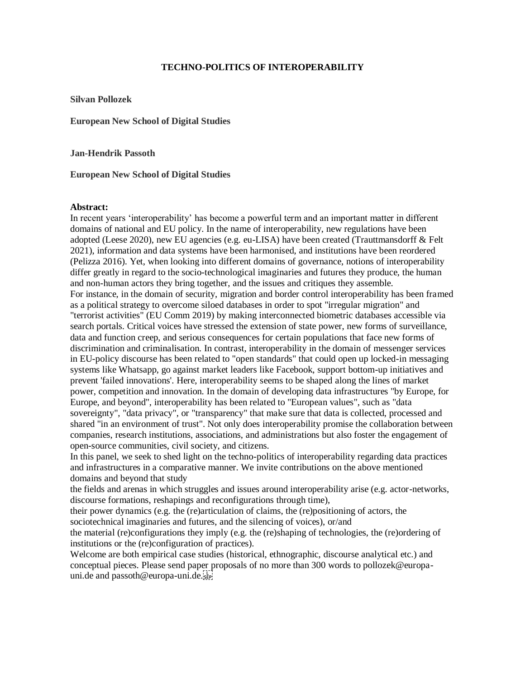## **TECHNO-POLITICS OF INTEROPERABILITY**

**Silvan Pollozek**

**European New School of Digital Studies** 

**Jan-Hendrik Passoth**

**European New School of Digital Studies** 

## **Abstract:**

In recent years 'interoperability' has become a powerful term and an important matter in different domains of national and EU policy. In the name of interoperability, new regulations have been adopted (Leese 2020), new EU agencies (e.g. eu-LISA) have been created (Trauttmansdorff & Felt 2021), information and data systems have been harmonised, and institutions have been reordered (Pelizza 2016). Yet, when looking into different domains of governance, notions of interoperability differ greatly in regard to the socio-technological imaginaries and futures they produce, the human and non-human actors they bring together, and the issues and critiques they assemble. For instance, in the domain of security, migration and border control interoperability has been framed as a political strategy to overcome siloed databases in order to spot "irregular migration" and "terrorist activities" (EU Comm 2019) by making interconnected biometric databases accessible via search portals. Critical voices have stressed the extension of state power, new forms of surveillance, data and function creep, and serious consequences for certain populations that face new forms of discrimination and criminalisation. In contrast, interoperability in the domain of messenger services in EU-policy discourse has been related to "open standards" that could open up locked-in messaging systems like Whatsapp, go against market leaders like Facebook, support bottom-up initiatives and prevent 'failed innovations'. Here, interoperability seems to be shaped along the lines of market power, competition and innovation. In the domain of developing data infrastructures "by Europe, for Europe, and beyond", interoperability has been related to "European values", such as "data sovereignty", "data privacy", or "transparency" that make sure that data is collected, processed and shared "in an environment of trust". Not only does interoperability promise the collaboration between companies, research institutions, associations, and administrations but also foster the engagement of open-source communities, civil society, and citizens.

In this panel, we seek to shed light on the techno-politics of interoperability regarding data practices and infrastructures in a comparative manner. We invite contributions on the above mentioned domains and beyond that study

the fields and arenas in which struggles and issues around interoperability arise (e.g. actor-networks, discourse formations, reshapings and reconfigurations through time),

their power dynamics (e.g. the (re)articulation of claims, the (re)positioning of actors, the sociotechnical imaginaries and futures, and the silencing of voices), or/and

the material (re)configurations they imply (e.g. the (re)shaping of technologies, the (re)ordering of institutions or the (re)configuration of practices).

Welcome are both empirical case studies (historical, ethnographic, discourse analytical etc.) and conceptual pieces. Please send paper proposals of no more than 300 words to pollozek@europauni.de and passoth@europa-uni.de.